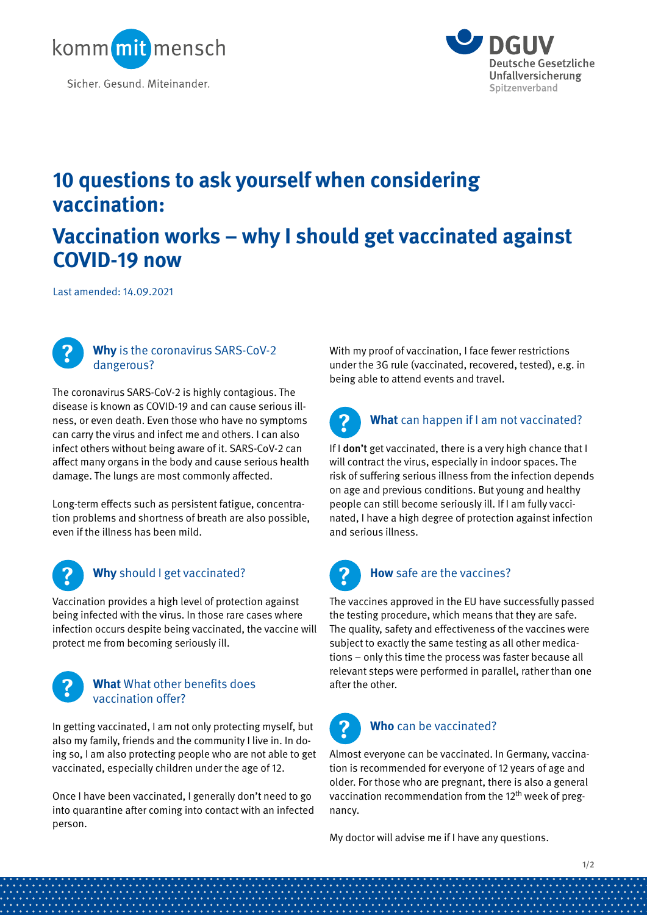



# **10 questions to ask yourself when considering vaccination:**

# **Vaccination works – why I should get vaccinated against COVID-19 now**

Last amended: 14.09.2021



### **Why** is the coronavirus SARS-CoV-2 dangerous?

The coronavirus SARS-CoV-2 is highly contagious. The disease is known as COVID-19 and can cause serious illness, or even death. Even those who have no symptoms can carry the virus and infect me and others. I can also infect others without being aware of it. SARS-CoV-2 can affect many organs in the body and cause serious health damage. The lungs are most commonly affected.

Long-term effects such as persistent fatigue, concentration problems and shortness of breath are also possible, even if the illness has been mild.



## **Why** should I get vaccinated?

Vaccination provides a high level of protection against being infected with the virus. In those rare cases where infection occurs despite being vaccinated, the vaccine will protect me from becoming seriously ill.



### **What** What other benefits does vaccination offer?

In getting vaccinated, I am not only protecting myself, but also my family, friends and the community I live in. In doing so, I am also protecting people who are not able to get vaccinated, especially children under the age of 12.

Once I have been vaccinated, I generally don't need to go into quarantine after coming into contact with an infected person.

With my proof of vaccination, I face fewer restrictions under the 3G rule (vaccinated, recovered, tested), e.g. in being able to attend events and travel.

## **What** can happen if I am not vaccinated? **?**

If I don't get vaccinated, there is a very high chance that I will contract the virus, especially in indoor spaces. The risk of suffering serious illness from the infection depends on age and previous conditions. But young and healthy people can still become seriously ill. If I am fully vaccinated, I have a high degree of protection against infection and serious illness.



### **How** safe are the vaccines?

The vaccines approved in the EU have successfully passed the testing procedure, which means that they are safe. The quality, safety and effectiveness of the vaccines were subject to exactly the same testing as all other medications – only this time the process was faster because all relevant steps were performed in parallel, rather than one after the other.



### **Who** can be vaccinated?

Almost everyone can be vaccinated. In Germany, vaccination is recommended for everyone of 12 years of age and older. For those who are pregnant, there is also a general vaccination recommendation from the 12<sup>th</sup> week of pregnancy.

My doctor will advise me if I have any questions.